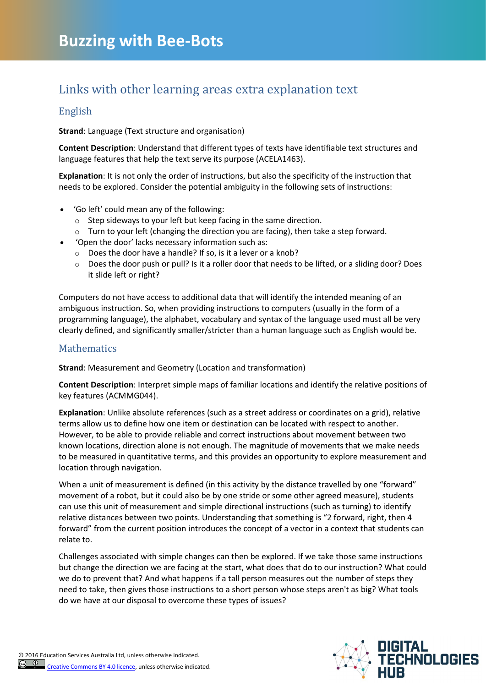## Links with other learning areas extra explanation text

## English

**Strand**: Language (Text structure and organisation)

**Content Description**: Understand that different types of texts have identifiable text structures and language features that help the text serve its purpose [\(ACELA1463\)](http://www.australiancurriculum.edu.au/english/curriculum/f-10?layout=1#cdcode=ACELA1463&level=2).

**Explanation**: It is not only the order of instructions, but also the specificity of the instruction that needs to be explored. Consider the potential ambiguity in the following sets of instructions:

- 'Go left' could mean any of the following:
	- o Step sideways to your left but keep facing in the same direction.
	- $\circ$  Turn to your left (changing the direction you are facing), then take a step forward.
- 'Open the door' lacks necessary information such as:
	- o Does the door have a handle? If so, is it a lever or a knob?
	- $\circ$  Does the door push or pull? Is it a roller door that needs to be lifted, or a sliding door? Does it slide left or right?

Computers do not have access to additional data that will identify the intended meaning of an ambiguous instruction. So, when providing instructions to computers (usually in the form of a programming language), the alphabet, vocabulary and syntax of the language used must all be very clearly defined, and significantly smaller/stricter than a human language such as English would be.

## **Mathematics**

**Strand**: Measurement and Geometry (Location and transformation)

**Content Description**: Interpret simple maps of familiar locations and identify the relative positions of key features [\(ACMMG044\)](http://www.australiancurriculum.edu.au/mathematics/curriculum/f-10?layout=1#cdcode=ACMMG044&level=2).

**Explanation**: Unlike absolute references (such as a street address or coordinates on a grid), relative terms allow us to define how one item or destination can be located with respect to another. However, to be able to provide reliable and correct instructions about movement between two known locations, direction alone is not enough. The magnitude of movements that we make needs to be measured in quantitative terms, and this provides an opportunity to explore measurement and location through navigation.

When a unit of measurement is defined (in this activity by the distance travelled by one "forward" movement of a robot, but it could also be by one stride or some other agreed measure), students can use this unit of measurement and simple directional instructions (such as turning) to identify relative distances between two points. Understanding that something is "2 forward, right, then 4 forward" from the current position introduces the concept of a vector in a context that students can relate to.

Challenges associated with simple changes can then be explored. If we take those same instructions but change the direction we are facing at the start, what does that do to our instruction? What could we do to prevent that? And what happens if a tall person measures out the number of steps they need to take, then gives those instructions to a short person whose steps aren't as big? What tools do we have at our disposal to overcome these types of issues?